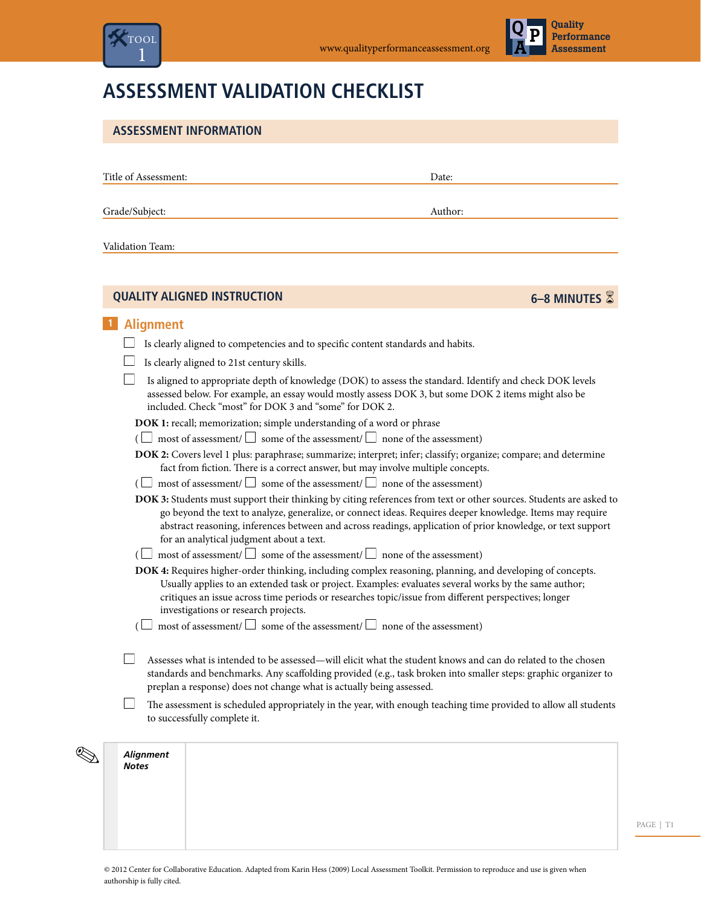



# **Assessment Validation Checklist**

| Title of Assessment: |                                                        |                                                                                                      | Date:                                                                                                                                                                                                                                                                                                                                          |
|----------------------|--------------------------------------------------------|------------------------------------------------------------------------------------------------------|------------------------------------------------------------------------------------------------------------------------------------------------------------------------------------------------------------------------------------------------------------------------------------------------------------------------------------------------|
| Grade/Subject:       |                                                        |                                                                                                      | Author:                                                                                                                                                                                                                                                                                                                                        |
| Validation Team:     |                                                        |                                                                                                      |                                                                                                                                                                                                                                                                                                                                                |
|                      | <b>QUALITY ALIGNED INSTRUCTION</b>                     |                                                                                                      | 6-8 MINUTES                                                                                                                                                                                                                                                                                                                                    |
| <b>Alignment</b>     |                                                        |                                                                                                      |                                                                                                                                                                                                                                                                                                                                                |
|                      |                                                        | Is clearly aligned to competencies and to specific content standards and habits.                     |                                                                                                                                                                                                                                                                                                                                                |
|                      | Is clearly aligned to 21st century skills.             |                                                                                                      |                                                                                                                                                                                                                                                                                                                                                |
|                      | included. Check "most" for DOK 3 and "some" for DOK 2. | DOK 1: recall; memorization; simple understanding of a word or phrase                                | Is aligned to appropriate depth of knowledge (DOK) to assess the standard. Identify and check DOK levels<br>assessed below. For example, an essay would mostly assess DOK 3, but some DOK 2 items might also be                                                                                                                                |
|                      |                                                        | ( $\Box$ most of assessment/ $\Box$ some of the assessment/ $\Box$ none of the assessment)           |                                                                                                                                                                                                                                                                                                                                                |
|                      |                                                        | fact from fiction. There is a correct answer, but may involve multiple concepts.                     | DOK 2: Covers level 1 plus: paraphrase; summarize; interpret; infer; classify; organize; compare; and determine                                                                                                                                                                                                                                |
|                      |                                                        | ( $\Box~$ most of assessment/ $\Box~$ some of the assessment/ $\Box~$ none of the assessment)        |                                                                                                                                                                                                                                                                                                                                                |
|                      | for an analytical judgment about a text.               |                                                                                                      | DOK 3: Students must support their thinking by citing references from text or other sources. Students are asked to<br>go beyond the text to analyze, generalize, or connect ideas. Requires deeper knowledge. Items may require<br>abstract reasoning, inferences between and across readings, application of prior knowledge, or text support |
|                      |                                                        | most of assessment/ $\Box$ some of the assessment/ $\Box$ none of the assessment)                    |                                                                                                                                                                                                                                                                                                                                                |
|                      | investigations or research projects.                   | critiques an issue across time periods or researches topic/issue from different perspectives; longer | DOK 4: Requires higher-order thinking, including complex reasoning, planning, and developing of concepts.<br>Usually applies to an extended task or project. Examples: evaluates several works by the same author;                                                                                                                             |
|                      |                                                        | most of assessment/ $\Box$ some of the assessment/ $\Box$ none of the assessment)                    |                                                                                                                                                                                                                                                                                                                                                |
|                      |                                                        | preplan a response) does not change what is actually being assessed.                                 | Assesses what is intended to be assessed—will elicit what the student knows and can do related to the chosen<br>standards and benchmarks. Any scaffolding provided (e.g., task broken into smaller steps: graphic organizer to                                                                                                                 |
|                      | to successfully complete it.                           |                                                                                                      | The assessment is scheduled appropriately in the year, with enough teaching time provided to allow all students                                                                                                                                                                                                                                |

PAGE | T1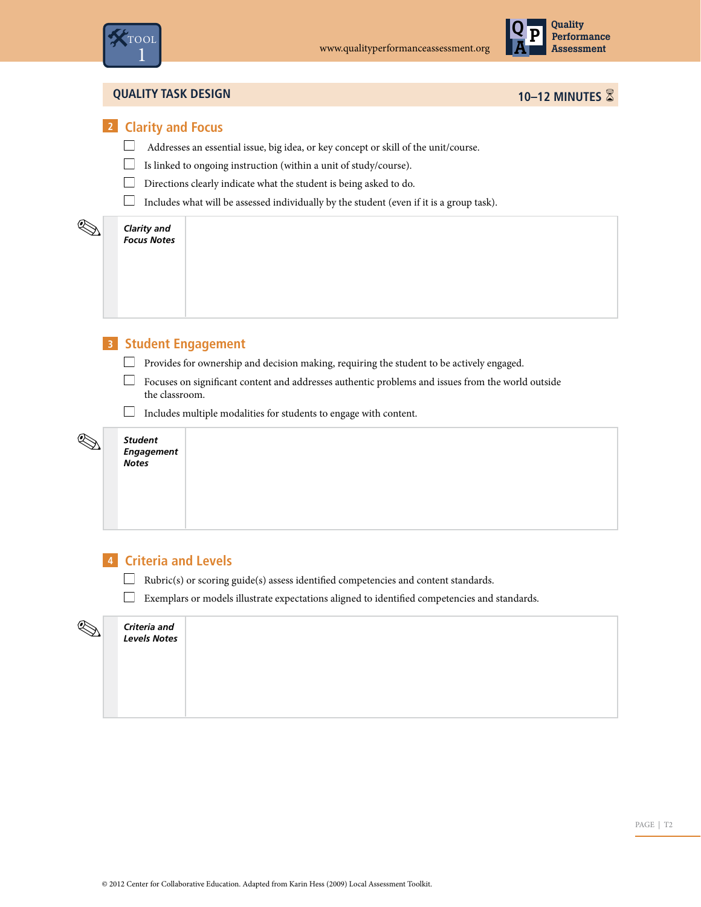



#### **Quality Task Design 10–12 minutes** 6

## **2 Clarity and Focus**

- $\Box$  <br> Addresses an essential issue, big idea, or key concept or skill of the unit/course.
- $\hfill\Box$  Is linked to ongoing instruction (within a unit of study/course).
- $\Box$  Directions clearly indicate what the student is being asked to do.
- $\hfill\Box$  Includes what will be assessed individually by the student (even if it is a group task).

#### *Clarity and Focus Notes*

9

 $\overline{\mathscr{D}}$ 

## **3 Student Engagement**

- $\Box$  Provides for ownership and decision making, requiring the student to be actively engaged.
- $\Box$  Focuses on significant content and addresses authentic problems and issues from the world outside the classroom.
- $\Box$  Includes multiple modalities for students to engage with content.

| <b>Student</b><br>Engagement<br><b>Notes</b> |  |  |  |
|----------------------------------------------|--|--|--|
|                                              |  |  |  |

#### **4 Criteria and Levels**

- $\hfill\Box\quad$  Rubric(s) or scoring guide(s) assess identified competencies and content standards.
- $\Box$  Exemplars or models illustrate expectations aligned to identified competencies and standards.

# *Criteria and Levels Notes*  $\mathscr{D}$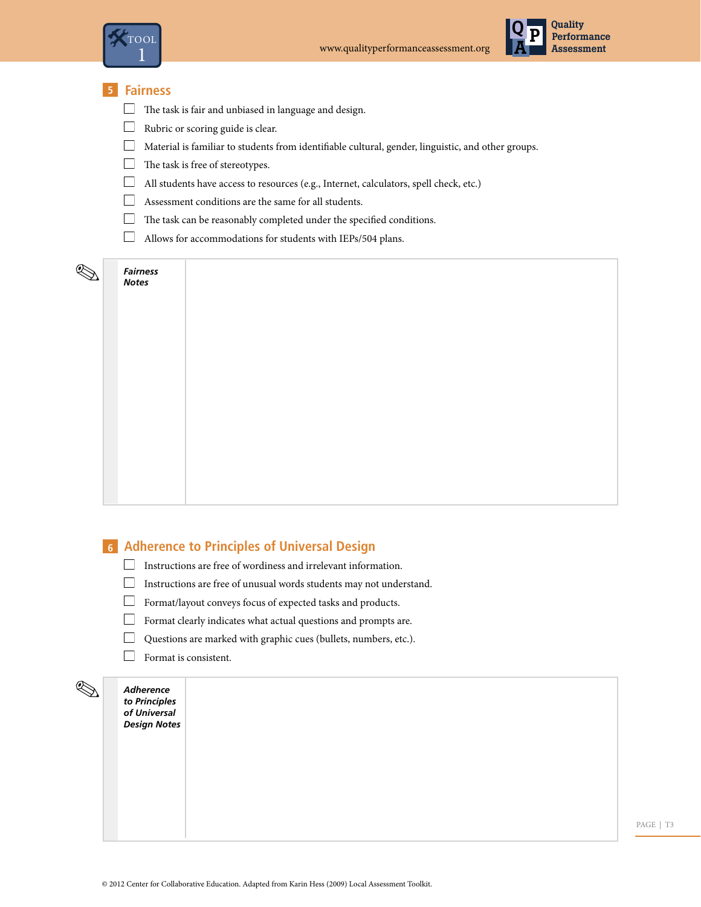



#### **5 Fairness**

- $\hfill\Box$  <br> The task is fair and unbiased in language and design.
- Rubric or scoring guide is clear.
- $\Box$  Material is familiar to students from identifiable cultural, gender, linguistic, and other groups.
- $\Box$  The task is free of stereotypes.
- All students have access to resources (e.g., Internet, calculators, spell check, etc.)
- Assessment conditions are the same for all students.
- $\Box$  The task can be reasonably completed under the specified conditions.
- Allows for accommodations for students with IEPs/504 plans.

#### *Fairness Notes*

9

#### **6 Adherence to Principles of Universal Design**

- $\hfill\Box$  Instructions are free of wordiness and irrelevant information.
- Instructions are free of unusual words students may not understand.
- $\hfill\Box\quad$  Format/layout conveys focus of expected tasks and products.
- $\Box$  Format clearly indicates what actual questions and prompts are.
- $\Box$ Questions are marked with graphic cues (bullets, numbers, etc.).
- Format is consistent.